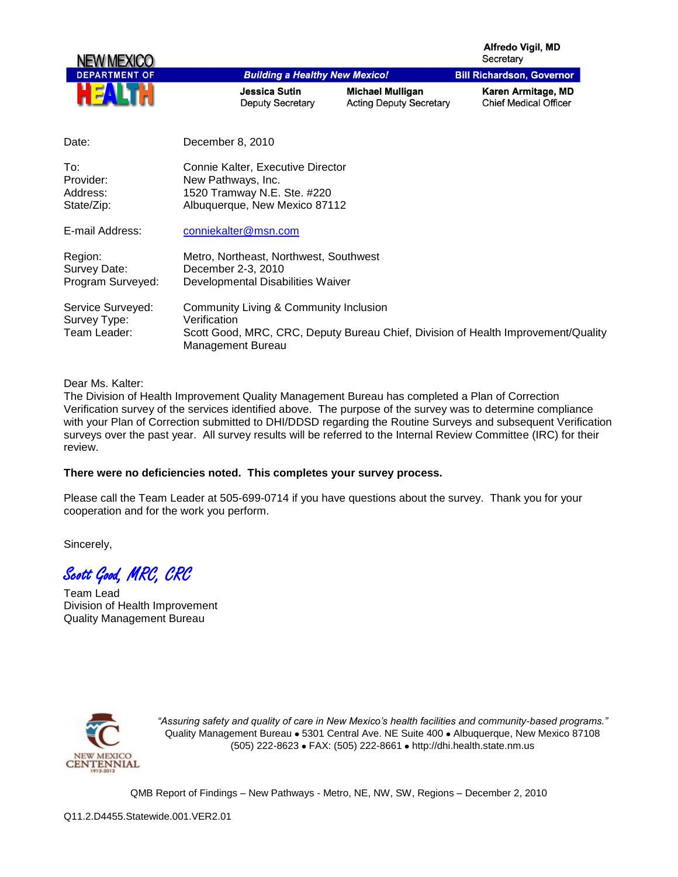Alfredo Vigil, MD Secretary



| Date:                                             | December 8, 2010                                                                                                                                                 |
|---------------------------------------------------|------------------------------------------------------------------------------------------------------------------------------------------------------------------|
| To:<br>Provider:<br>Address:<br>State/Zip:        | Connie Kalter, Executive Director<br>New Pathways, Inc.<br>1520 Tramway N.E. Ste. #220<br>Albuquerque, New Mexico 87112                                          |
| E-mail Address:                                   | conniekalter@msn.com                                                                                                                                             |
| Region:<br>Survey Date:<br>Program Surveyed:      | Metro, Northeast, Northwest, Southwest<br>December 2-3, 2010<br>Developmental Disabilities Waiver                                                                |
| Service Surveyed:<br>Survey Type:<br>Team Leader: | Community Living & Community Inclusion<br>Verification<br>Scott Good, MRC, CRC, Deputy Bureau Chief, Division of Health Improvement/Quality<br>Management Bureau |

## Dear Ms. Kalter:

The Division of Health Improvement Quality Management Bureau has completed a Plan of Correction Verification survey of the services identified above. The purpose of the survey was to determine compliance with your Plan of Correction submitted to DHI/DDSD regarding the Routine Surveys and subsequent Verification surveys over the past year. All survey results will be referred to the Internal Review Committee (IRC) for their review.

## **There were no deficiencies noted. This completes your survey process.**

Please call the Team Leader at 505-699-0714 if you have questions about the survey. Thank you for your cooperation and for the work you perform.

Sincerely,

Scott Good, MRC, CRC

Team Lead Division of Health Improvement Quality Management Bureau



*"Assuring safety and quality of care in New Mexico's health facilities and community-based programs."* Quality Management Bureau • 5301 Central Ave. NE Suite 400 • Albuquerque, New Mexico 87108 (505) 222-8623 • FAX: (505) 222-8661 • http://dhi.health.state.nm.us

QMB Report of Findings – New Pathways - Metro, NE, NW, SW, Regions – December 2, 2010